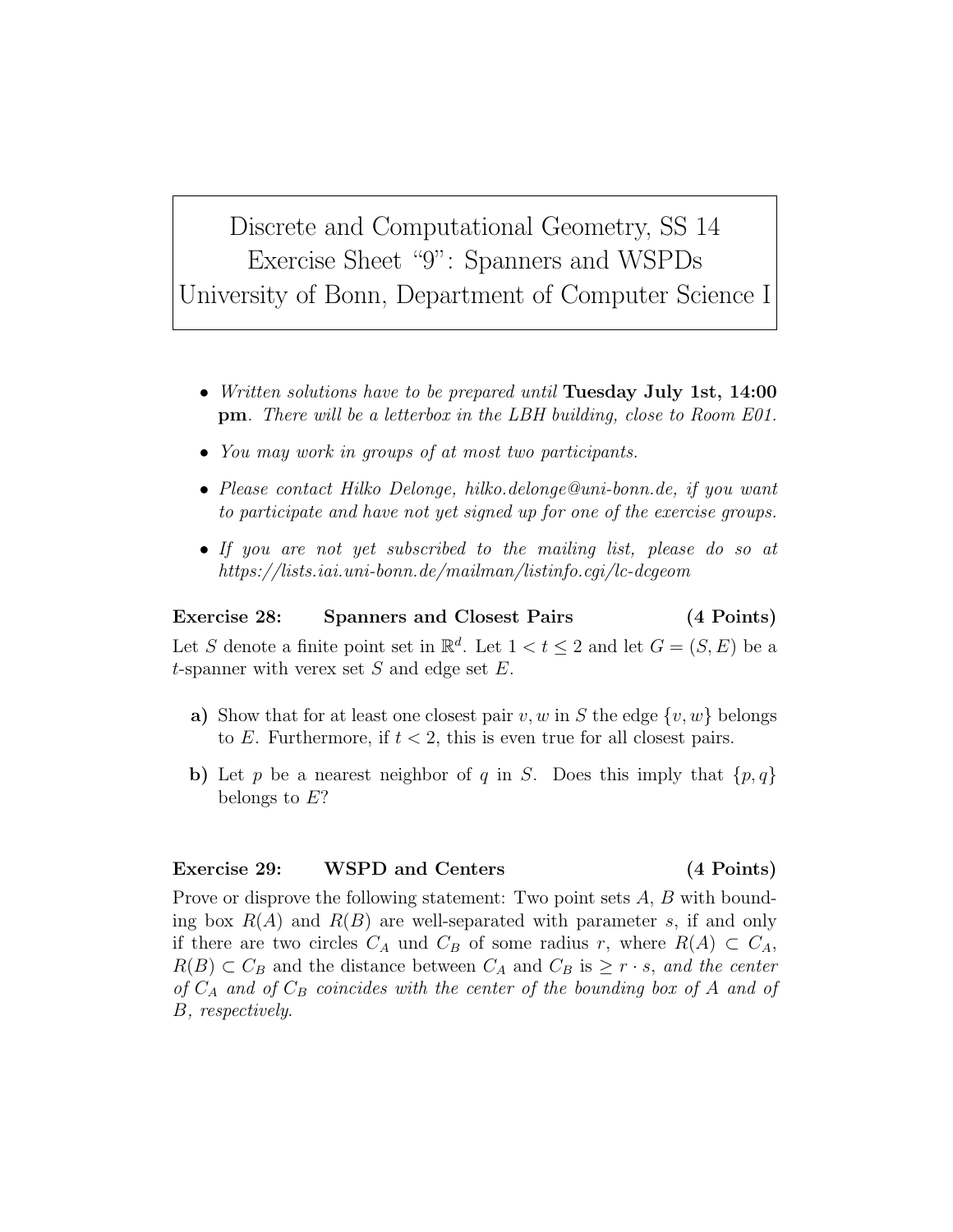Discrete and Computational Geometry, SS 14 Exercise Sheet "9": Spanners and WSPDs University of Bonn, Department of Computer Science I

- Written solutions have to be prepared until Tuesday July 1st, 14:00 pm. There will be a letterbox in the LBH building, close to Room E01.
- You may work in groups of at most two participants.
- Please contact Hilko Delonge, hilko.delonge@uni-bonn.de, if you want to participate and have not yet signed up for one of the exercise groups.
- If you are not yet subscribed to the mailing list, please do so at https://lists.iai.uni-bonn.de/mailman/listinfo.cgi/lc-dcgeom

## Exercise 28: Spanners and Closest Pairs (4 Points)

Let S denote a finite point set in  $\mathbb{R}^d$ . Let  $1 < t \leq 2$  and let  $G = (S, E)$  be a t-spanner with verex set  $S$  and edge set  $E$ .

- a) Show that for at least one closest pair v, w in S the edge  $\{v, w\}$  belongs to E. Furthermore, if  $t < 2$ , this is even true for all closest pairs.
- b) Let p be a nearest neighbor of q in S. Does this imply that  $\{p,q\}$ belongs to E?

## Exercise 29: WSPD and Centers (4 Points)

Prove or disprove the following statement: Two point sets A, B with bounding box  $R(A)$  and  $R(B)$  are well-separated with parameter s, if and only if there are two circles  $C_A$  und  $C_B$  of some radius r, where  $R(A) \subset C_A$ ,  $R(B) \subset C_B$  and the distance between  $C_A$  and  $C_B$  is  $\geq r \cdot s$ , and the center of  $C_A$  and of  $C_B$  coincides with the center of the bounding box of A and of B, respectively.